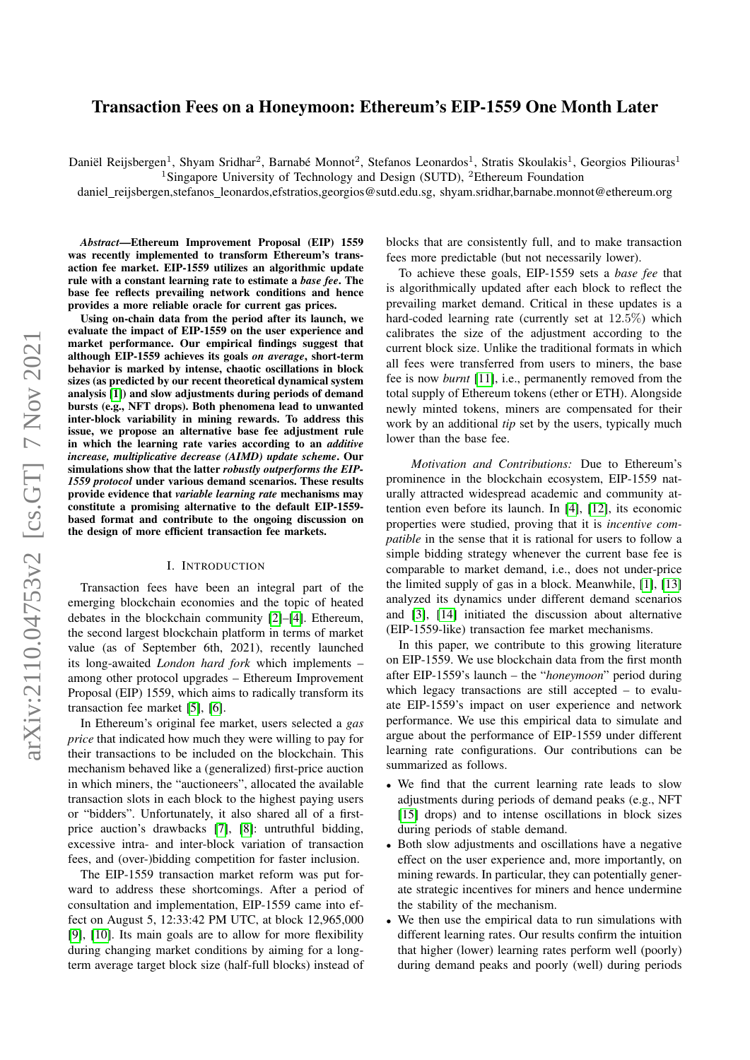# Transaction Fees on a Honeymoon: Ethereum's EIP-1559 One Month Later

Daniël Reijsbergen<sup>1</sup>, Shyam Sridhar<sup>2</sup>, Barnabé Monnot<sup>2</sup>, Stefanos Leonardos<sup>1</sup>, Stratis Skoulakis<sup>1</sup>, Georgios Piliouras<sup>1</sup>

<sup>1</sup>Singapore University of Technology and Design (SUTD), <sup>2</sup>Ethereum Foundation

daniel\_reijsbergen,stefanos\_leonardos,efstratios,georgios@sutd.edu.sg, shyam.sridhar,barnabe.monnot@ethereum.org

*Abstract*—Ethereum Improvement Proposal (EIP) 1559 was recently implemented to transform Ethereum's transaction fee market. EIP-1559 utilizes an algorithmic update rule with a constant learning rate to estimate a *base fee*. The base fee reflects prevailing network conditions and hence provides a more reliable oracle for current gas prices.

Using on-chain data from the period after its launch, we evaluate the impact of EIP-1559 on the user experience and market performance. Our empirical findings suggest that although EIP-1559 achieves its goals *on average*, short-term behavior is marked by intense, chaotic oscillations in block sizes (as predicted by our recent theoretical dynamical system analysis [\[1\]](#page-8-0)) and slow adjustments during periods of demand bursts (e.g., NFT drops). Both phenomena lead to unwanted inter-block variability in mining rewards. To address this issue, we propose an alternative base fee adjustment rule in which the learning rate varies according to an *additive increase, multiplicative decrease (AIMD) update scheme*. Our simulations show that the latter *robustly outperforms the EIP-1559 protocol* under various demand scenarios. These results provide evidence that *variable learning rate* mechanisms may constitute a promising alternative to the default EIP-1559 based format and contribute to the ongoing discussion on the design of more efficient transaction fee markets.

#### I. INTRODUCTION

Transaction fees have been an integral part of the emerging blockchain economies and the topic of heated debates in the blockchain community [\[2\]](#page-8-1)–[\[4\]](#page-8-2). Ethereum, the second largest blockchain platform in terms of market value (as of September 6th, 2021), recently launched its long-awaited *London hard fork* which implements – among other protocol upgrades – Ethereum Improvement Proposal (EIP) 1559, which aims to radically transform its transaction fee market [\[5\]](#page-8-3), [\[6\]](#page-8-4).

In Ethereum's original fee market, users selected a *gas price* that indicated how much they were willing to pay for their transactions to be included on the blockchain. This mechanism behaved like a (generalized) first-price auction in which miners, the "auctioneers", allocated the available transaction slots in each block to the highest paying users or "bidders". Unfortunately, it also shared all of a firstprice auction's drawbacks [\[7\]](#page-8-5), [\[8\]](#page-8-6): untruthful bidding, excessive intra- and inter-block variation of transaction fees, and (over-)bidding competition for faster inclusion.

The EIP-1559 transaction market reform was put forward to address these shortcomings. After a period of consultation and implementation, EIP-1559 came into effect on August 5, 12:33:42 PM UTC, at block 12,965,000 [\[9\]](#page-8-7), [\[10\]](#page-8-8). Its main goals are to allow for more flexibility during changing market conditions by aiming for a longterm average target block size (half-full blocks) instead of blocks that are consistently full, and to make transaction fees more predictable (but not necessarily lower).

To achieve these goals, EIP-1559 sets a *base fee* that is algorithmically updated after each block to reflect the prevailing market demand. Critical in these updates is a hard-coded learning rate (currently set at 12.5%) which calibrates the size of the adjustment according to the current block size. Unlike the traditional formats in which all fees were transferred from users to miners, the base fee is now *burnt* [\[11\]](#page-8-9), i.e., permanently removed from the total supply of Ethereum tokens (ether or ETH). Alongside newly minted tokens, miners are compensated for their work by an additional *tip* set by the users, typically much lower than the base fee.

*Motivation and Contributions:* Due to Ethereum's prominence in the blockchain ecosystem, EIP-1559 naturally attracted widespread academic and community attention even before its launch. In [\[4\]](#page-8-2), [\[12\]](#page-8-10), its economic properties were studied, proving that it is *incentive compatible* in the sense that it is rational for users to follow a simple bidding strategy whenever the current base fee is comparable to market demand, i.e., does not under-price the limited supply of gas in a block. Meanwhile, [\[1\]](#page-8-0), [\[13\]](#page-8-11) analyzed its dynamics under different demand scenarios and [\[3\]](#page-8-12), [\[14\]](#page-8-13) initiated the discussion about alternative (EIP-1559-like) transaction fee market mechanisms.

In this paper, we contribute to this growing literature on EIP-1559. We use blockchain data from the first month after EIP-1559's launch – the "*honeymoon*" period during which legacy transactions are still accepted – to evaluate EIP-1559's impact on user experience and network performance. We use this empirical data to simulate and argue about the performance of EIP-1559 under different learning rate configurations. Our contributions can be summarized as follows.

- We find that the current learning rate leads to slow adjustments during periods of demand peaks (e.g., NFT [\[15\]](#page-8-14) drops) and to intense oscillations in block sizes during periods of stable demand.
- Both slow adjustments and oscillations have a negative effect on the user experience and, more importantly, on mining rewards. In particular, they can potentially generate strategic incentives for miners and hence undermine the stability of the mechanism.
- We then use the empirical data to run simulations with different learning rates. Our results confirm the intuition that higher (lower) learning rates perform well (poorly) during demand peaks and poorly (well) during periods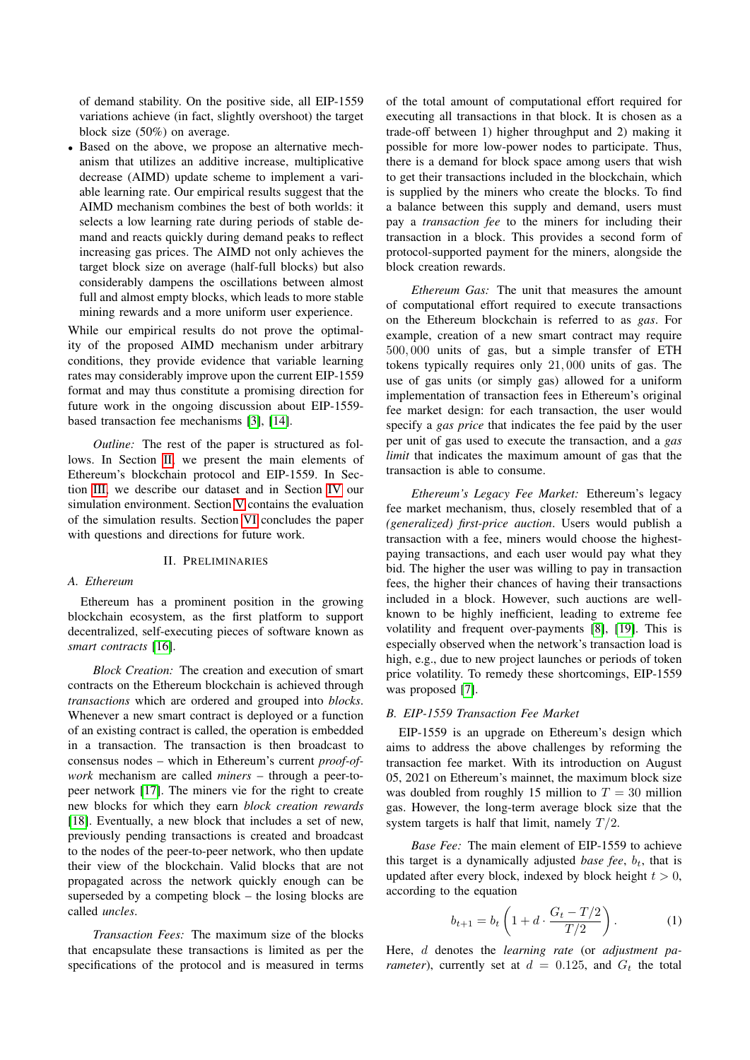of demand stability. On the positive side, all EIP-1559 variations achieve (in fact, slightly overshoot) the target block size (50%) on average.

• Based on the above, we propose an alternative mechanism that utilizes an additive increase, multiplicative decrease (AIMD) update scheme to implement a variable learning rate. Our empirical results suggest that the AIMD mechanism combines the best of both worlds: it selects a low learning rate during periods of stable demand and reacts quickly during demand peaks to reflect increasing gas prices. The AIMD not only achieves the target block size on average (half-full blocks) but also considerably dampens the oscillations between almost full and almost empty blocks, which leads to more stable mining rewards and a more uniform user experience.

While our empirical results do not prove the optimality of the proposed AIMD mechanism under arbitrary conditions, they provide evidence that variable learning rates may considerably improve upon the current EIP-1559 format and may thus constitute a promising direction for future work in the ongoing discussion about EIP-1559 based transaction fee mechanisms [\[3\]](#page-8-12), [\[14\]](#page-8-13).

*Outline:* The rest of the paper is structured as follows. In Section [II,](#page-1-0) we present the main elements of Ethereum's blockchain protocol and EIP-1559. In Section [III,](#page-2-0) we describe our dataset and in Section [IV](#page-4-0) our simulation environment. Section [V](#page-5-0) contains the evaluation of the simulation results. Section [VI](#page-7-0) concludes the paper with questions and directions for future work.

### II. PRELIMINARIES

#### <span id="page-1-0"></span>*A. Ethereum*

Ethereum has a prominent position in the growing blockchain ecosystem, as the first platform to support decentralized, self-executing pieces of software known as *smart contracts* [\[16\]](#page-8-15).

*Block Creation:* The creation and execution of smart contracts on the Ethereum blockchain is achieved through *transactions* which are ordered and grouped into *blocks*. Whenever a new smart contract is deployed or a function of an existing contract is called, the operation is embedded in a transaction. The transaction is then broadcast to consensus nodes – which in Ethereum's current *proof-ofwork* mechanism are called *miners* – through a peer-topeer network [\[17\]](#page-8-16). The miners vie for the right to create new blocks for which they earn *block creation rewards* [\[18\]](#page-8-17). Eventually, a new block that includes a set of new, previously pending transactions is created and broadcast to the nodes of the peer-to-peer network, who then update their view of the blockchain. Valid blocks that are not propagated across the network quickly enough can be superseded by a competing block – the losing blocks are called *uncles*.

*Transaction Fees:* The maximum size of the blocks that encapsulate these transactions is limited as per the specifications of the protocol and is measured in terms of the total amount of computational effort required for executing all transactions in that block. It is chosen as a trade-off between 1) higher throughput and 2) making it possible for more low-power nodes to participate. Thus, there is a demand for block space among users that wish to get their transactions included in the blockchain, which is supplied by the miners who create the blocks. To find a balance between this supply and demand, users must pay a *transaction fee* to the miners for including their transaction in a block. This provides a second form of protocol-supported payment for the miners, alongside the block creation rewards.

*Ethereum Gas:* The unit that measures the amount of computational effort required to execute transactions on the Ethereum blockchain is referred to as *gas*. For example, creation of a new smart contract may require 500, 000 units of gas, but a simple transfer of ETH tokens typically requires only 21, 000 units of gas. The use of gas units (or simply gas) allowed for a uniform implementation of transaction fees in Ethereum's original fee market design: for each transaction, the user would specify a *gas price* that indicates the fee paid by the user per unit of gas used to execute the transaction, and a *gas limit* that indicates the maximum amount of gas that the transaction is able to consume.

*Ethereum's Legacy Fee Market:* Ethereum's legacy fee market mechanism, thus, closely resembled that of a *(generalized) first-price auction*. Users would publish a transaction with a fee, miners would choose the highestpaying transactions, and each user would pay what they bid. The higher the user was willing to pay in transaction fees, the higher their chances of having their transactions included in a block. However, such auctions are wellknown to be highly inefficient, leading to extreme fee volatility and frequent over-payments [\[8\]](#page-8-6), [\[19\]](#page-8-18). This is especially observed when the network's transaction load is high, e.g., due to new project launches or periods of token price volatility. To remedy these shortcomings, EIP-1559 was proposed [\[7\]](#page-8-5).

#### *B. EIP-1559 Transaction Fee Market*

EIP-1559 is an upgrade on Ethereum's design which aims to address the above challenges by reforming the transaction fee market. With its introduction on August 05, 2021 on Ethereum's mainnet, the maximum block size was doubled from roughly 15 million to  $T = 30$  million gas. However, the long-term average block size that the system targets is half that limit, namely  $T/2$ .

*Base Fee:* The main element of EIP-1559 to achieve this target is a dynamically adjusted *base fee*,  $b_t$ , that is updated after every block, indexed by block height  $t > 0$ , according to the equation

$$
b_{t+1} = b_t \left( 1 + d \cdot \frac{G_t - T/2}{T/2} \right). \tag{1}
$$

Here, d denotes the *learning rate* (or *adjustment parameter*), currently set at  $d = 0.125$ , and  $G_t$  the total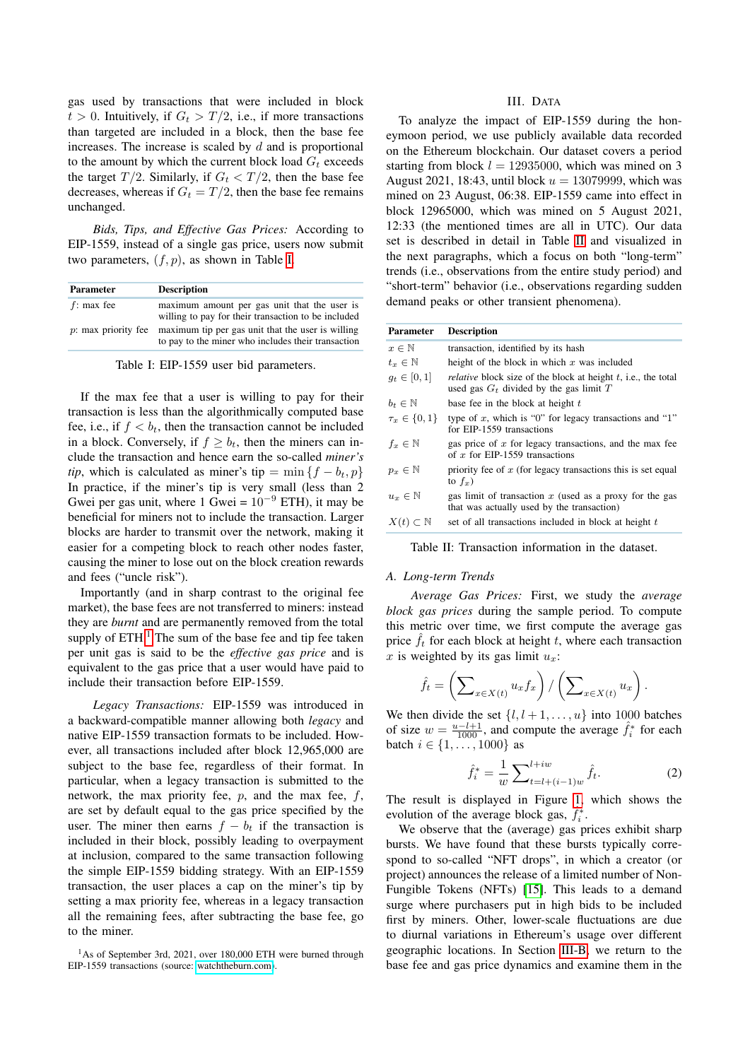gas used by transactions that were included in block  $t > 0$ . Intuitively, if  $G_t > T/2$ , i.e., if more transactions than targeted are included in a block, then the base fee increases. The increase is scaled by  $d$  and is proportional to the amount by which the current block load  $G_t$  exceeds the target  $T/2$ . Similarly, if  $G_t < T/2$ , then the base fee decreases, whereas if  $G_t = T/2$ , then the base fee remains unchanged.

*Bids, Tips, and Effective Gas Prices:* According to EIP-1559, instead of a single gas price, users now submit two parameters,  $(f, p)$ , as shown in Table [I.](#page-2-1)

<span id="page-2-1"></span>

| <b>Parameter</b> | <b>Description</b>                                                                                                             |  |  |  |  |  |
|------------------|--------------------------------------------------------------------------------------------------------------------------------|--|--|--|--|--|
| $f$ : max fee    | maximum amount per gas unit that the user is<br>willing to pay for their transaction to be included                            |  |  |  |  |  |
|                  | $p$ : max priority fee maximum tip per gas unit that the user is willing<br>to pay to the miner who includes their transaction |  |  |  |  |  |

Table I: EIP-1559 user bid parameters.

If the max fee that a user is willing to pay for their transaction is less than the algorithmically computed base fee, i.e., if  $f < b_t$ , then the transaction cannot be included in a block. Conversely, if  $f \geq b_t$ , then the miners can include the transaction and hence earn the so-called *miner's tip*, which is calculated as miner's tip =  $\min\{f - b_t, p\}$ In practice, if the miner's tip is very small (less than 2 Gwei per gas unit, where 1 Gwei =  $10^{-9}$  ETH), it may be beneficial for miners not to include the transaction. Larger blocks are harder to transmit over the network, making it easier for a competing block to reach other nodes faster, causing the miner to lose out on the block creation rewards and fees ("uncle risk").

Importantly (and in sharp contrast to the original fee market), the base fees are not transferred to miners: instead they are *burnt* and are permanently removed from the total supply of  $ETH<sup>1</sup>$  $ETH<sup>1</sup>$  $ETH<sup>1</sup>$ . The sum of the base fee and tip fee taken per unit gas is said to be the *effective gas price* and is equivalent to the gas price that a user would have paid to include their transaction before EIP-1559.

*Legacy Transactions:* EIP-1559 was introduced in a backward-compatible manner allowing both *legacy* and native EIP-1559 transaction formats to be included. However, all transactions included after block 12,965,000 are subject to the base fee, regardless of their format. In particular, when a legacy transaction is submitted to the network, the max priority fee,  $p$ , and the max fee,  $f$ , are set by default equal to the gas price specified by the user. The miner then earns  $f - b_t$  if the transaction is included in their block, possibly leading to overpayment at inclusion, compared to the same transaction following the simple EIP-1559 bidding strategy. With an EIP-1559 transaction, the user places a cap on the miner's tip by setting a max priority fee, whereas in a legacy transaction all the remaining fees, after subtracting the base fee, go to the miner.

# III. DATA

<span id="page-2-0"></span>To analyze the impact of EIP-1559 during the honeymoon period, we use publicly available data recorded on the Ethereum blockchain. Our dataset covers a period starting from block  $l = 12935000$ , which was mined on 3 August 2021, 18:43, until block  $u = 13079999$ , which was mined on 23 August, 06:38. EIP-1559 came into effect in block 12965000, which was mined on 5 August 2021, 12:33 (the mentioned times are all in UTC). Our data set is described in detail in Table [II](#page-2-3) and visualized in the next paragraphs, which a focus on both "long-term" trends (i.e., observations from the entire study period) and "short-term" behavior (i.e., observations regarding sudden demand peaks or other transient phenomena).

<span id="page-2-3"></span>

| <b>Parameter</b>          | <b>Description</b>                                                                                                |
|---------------------------|-------------------------------------------------------------------------------------------------------------------|
| $x \in \mathbb{N}$        | transaction, identified by its hash                                                                               |
| $t_r \in \mathbb{N}$      | height of the block in which $x$ was included                                                                     |
| $g_t \in [0,1]$           | <i>relative</i> block size of the block at height t, i.e., the total<br>used gas $G_t$ divided by the gas limit T |
| $b_t \in \mathbb{N}$      | base fee in the block at height t                                                                                 |
| $\tau_x \in \{0, 1\}$     | type of x, which is "0" for legacy transactions and "1"<br>for EIP-1559 transactions                              |
| $f_x \in \mathbb{N}$      | gas price of $x$ for legacy transactions, and the max fee<br>of x for EIP-1559 transactions                       |
| $p_x \in \mathbb{N}$      | priority fee of $x$ (for legacy transactions this is set equal<br>to $f_x$ )                                      |
| $u_x \in \mathbb{N}$      | gas limit of transaction $x$ (used as a proxy for the gas<br>that was actually used by the transaction)           |
| $X(t) \subset \mathbb{N}$ | set of all transactions included in block at height t                                                             |

Table II: Transaction information in the dataset.

# *A. Long-term Trends*

*Average Gas Prices:* First, we study the *average block gas prices* during the sample period. To compute this metric over time, we first compute the average gas price  $\hat{f}_t$  for each block at height t, where each transaction x is weighted by its gas limit  $u_x$ :

$$
\hat{f}_t = \left(\sum\nolimits_{x \in X(t)} u_x f_x\right) / \left(\sum\nolimits_{x \in X(t)} u_x\right).
$$

We then divide the set  $\{l, l+1, \ldots, u\}$  into 1000 batches of size  $w = \frac{u - l + 1}{1000}$ , and compute the average  $\hat{f}_i^*$  for each batch  $i \in \{1, ..., 1000\}$  as

<span id="page-2-4"></span>
$$
\hat{f}_i^* = \frac{1}{w} \sum_{t=l+(i-1)w}^{l+i w} \hat{f}_t.
$$
 (2)

The result is displayed in Figure [1,](#page-3-0) which shows the evolution of the average block gas,  $\hat{f}_i^*$ .

We observe that the (average) gas prices exhibit sharp bursts. We have found that these bursts typically correspond to so-called "NFT drops", in which a creator (or project) announces the release of a limited number of Non-Fungible Tokens (NFTs) [\[15\]](#page-8-14). This leads to a demand surge where purchasers put in high bids to be included first by miners. Other, lower-scale fluctuations are due to diurnal variations in Ethereum's usage over different geographic locations. In Section [III-B,](#page-3-1) we return to the base fee and gas price dynamics and examine them in the

<span id="page-2-2"></span><sup>&</sup>lt;sup>1</sup>As of September 3rd, 2021, over 180,000 ETH were burned through EIP-1559 transactions (source: [watchtheburn.com\)](https://watchtheburn.com/).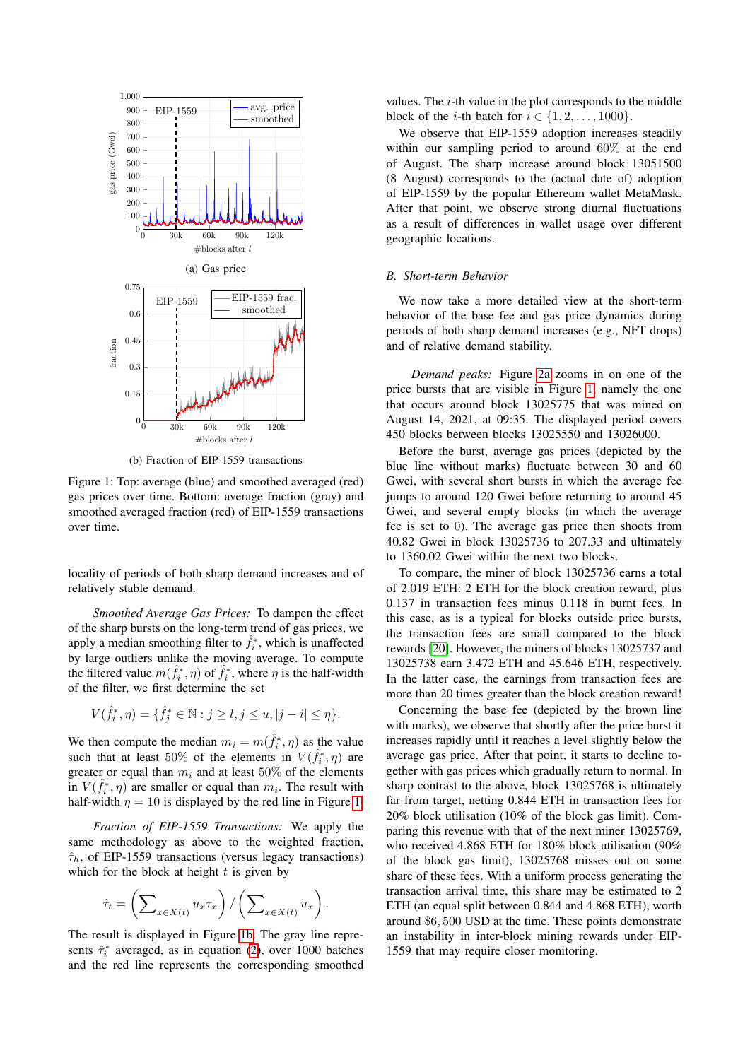<span id="page-3-0"></span>

(b) Fraction of EIP-1559 transactions

Figure 1: Top: average (blue) and smoothed averaged (red) gas prices over time. Bottom: average fraction (gray) and smoothed averaged fraction (red) of EIP-1559 transactions over time.

locality of periods of both sharp demand increases and of relatively stable demand.

*Smoothed Average Gas Prices:* To dampen the effect of the sharp bursts on the long-term trend of gas prices, we apply a median smoothing filter to  $\hat{f}_i^*$ , which is unaffected by large outliers unlike the moving average. To compute the filtered value  $m(\hat{f}_i^*, \eta)$  of  $\hat{f}_i^*$ , where  $\eta$  is the half-width of the filter, we first determine the set

$$
V(\hat{f}_i^*, \eta) = \{\hat{f}_j^* \in \mathbb{N} : j \ge l, j \le u, |j - i| \le \eta\}.
$$

We then compute the median  $m_i = m(\hat{f}_i^*, \eta)$  as the value such that at least 50% of the elements in  $V(\hat{f}_i^*, \eta)$  are greater or equal than  $m_i$  and at least 50% of the elements in  $V(\hat{f}_i^*, \eta)$  are smaller or equal than  $m_i$ . The result with half-width  $\eta = 10$  is displayed by the red line in Figure [1.](#page-3-0)

*Fraction of EIP-1559 Transactions:* We apply the same methodology as above to the weighted fraction,  $\hat{\tau}_h$ , of EIP-1559 transactions (versus legacy transactions) which for the block at height  $t$  is given by

$$
\hat{\tau}_t = \left(\sum\nolimits_{x \in X(t)} u_x \tau_x\right) / \left(\sum\nolimits_{x \in X(t)} u_x\right).
$$

The result is displayed in Figure [1b.](#page-3-0) The gray line represents  $\hat{\tau}_i^*$  averaged, as in equation [\(2\)](#page-2-4), over 1000 batches and the red line represents the corresponding smoothed values. The  $i$ -th value in the plot corresponds to the middle block of the *i*-th batch for  $i \in \{1, 2, \ldots, 1000\}$ .

We observe that EIP-1559 adoption increases steadily within our sampling period to around 60% at the end of August. The sharp increase around block 13051500 (8 August) corresponds to the (actual date of) adoption of EIP-1559 by the popular Ethereum wallet MetaMask. After that point, we observe strong diurnal fluctuations as a result of differences in wallet usage over different geographic locations.

### <span id="page-3-1"></span>*B. Short-term Behavior*

We now take a more detailed view at the short-term behavior of the base fee and gas price dynamics during periods of both sharp demand increases (e.g., NFT drops) and of relative demand stability.

*Demand peaks:* Figure [2a](#page-4-1) zooms in on one of the price bursts that are visible in Figure [1,](#page-3-0) namely the one that occurs around block 13025775 that was mined on August 14, 2021, at 09:35. The displayed period covers 450 blocks between blocks 13025550 and 13026000.

Before the burst, average gas prices (depicted by the blue line without marks) fluctuate between 30 and 60 Gwei, with several short bursts in which the average fee jumps to around 120 Gwei before returning to around 45 Gwei, and several empty blocks (in which the average fee is set to 0). The average gas price then shoots from 40.82 Gwei in block 13025736 to 207.33 and ultimately to 1360.02 Gwei within the next two blocks.

To compare, the miner of block 13025736 earns a total of 2.019 ETH: 2 ETH for the block creation reward, plus 0.137 in transaction fees minus 0.118 in burnt fees. In this case, as is a typical for blocks outside price bursts, the transaction fees are small compared to the block rewards [\[20\]](#page-8-19). However, the miners of blocks 13025737 and 13025738 earn 3.472 ETH and 45.646 ETH, respectively. In the latter case, the earnings from transaction fees are more than 20 times greater than the block creation reward!

Concerning the base fee (depicted by the brown line with marks), we observe that shortly after the price burst it increases rapidly until it reaches a level slightly below the average gas price. After that point, it starts to decline together with gas prices which gradually return to normal. In sharp contrast to the above, block 13025768 is ultimately far from target, netting 0.844 ETH in transaction fees for 20% block utilisation (10% of the block gas limit). Comparing this revenue with that of the next miner 13025769, who received 4.868 ETH for 180% block utilisation (90% of the block gas limit), 13025768 misses out on some share of these fees. With a uniform process generating the transaction arrival time, this share may be estimated to 2 ETH (an equal split between 0.844 and 4.868 ETH), worth around \$6, 500 USD at the time. These points demonstrate an instability in inter-block mining rewards under EIP-1559 that may require closer monitoring.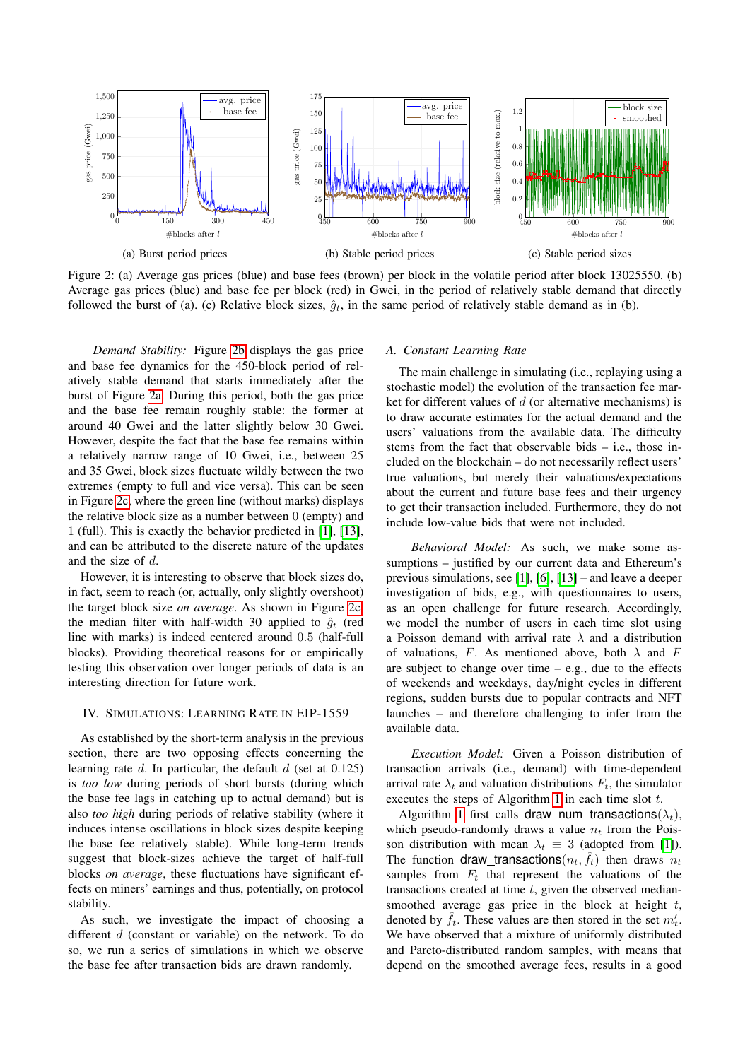<span id="page-4-1"></span>

Figure 2: (a) Average gas prices (blue) and base fees (brown) per block in the volatile period after block 13025550. (b) Average gas prices (blue) and base fee per block (red) in Gwei, in the period of relatively stable demand that directly followed the burst of (a). (c) Relative block sizes,  $\hat{g}_t$ , in the same period of relatively stable demand as in (b).

*Demand Stability:* Figure [2b](#page-4-1) displays the gas price and base fee dynamics for the 450-block period of relatively stable demand that starts immediately after the burst of Figure [2a.](#page-4-1) During this period, both the gas price and the base fee remain roughly stable: the former at around 40 Gwei and the latter slightly below 30 Gwei. However, despite the fact that the base fee remains within a relatively narrow range of 10 Gwei, i.e., between 25 and 35 Gwei, block sizes fluctuate wildly between the two extremes (empty to full and vice versa). This can be seen in Figure [2c,](#page-4-1) where the green line (without marks) displays the relative block size as a number between 0 (empty) and 1 (full). This is exactly the behavior predicted in [\[1\]](#page-8-0), [\[13\]](#page-8-11), and can be attributed to the discrete nature of the updates and the size of d.

However, it is interesting to observe that block sizes do, in fact, seem to reach (or, actually, only slightly overshoot) the target block size *on average*. As shown in Figure [2c,](#page-4-1) the median filter with half-width 30 applied to  $\hat{g}_t$  (red line with marks) is indeed centered around 0.5 (half-full blocks). Providing theoretical reasons for or empirically testing this observation over longer periods of data is an interesting direction for future work.

#### <span id="page-4-0"></span>IV. SIMULATIONS: LEARNING RATE IN EIP-1559

As established by the short-term analysis in the previous section, there are two opposing effects concerning the learning rate  $d$ . In particular, the default  $d$  (set at 0.125) is *too low* during periods of short bursts (during which the base fee lags in catching up to actual demand) but is also *too high* during periods of relative stability (where it induces intense oscillations in block sizes despite keeping the base fee relatively stable). While long-term trends suggest that block-sizes achieve the target of half-full blocks *on average*, these fluctuations have significant effects on miners' earnings and thus, potentially, on protocol stability.

As such, we investigate the impact of choosing a different d (constant or variable) on the network. To do so, we run a series of simulations in which we observe the base fee after transaction bids are drawn randomly.

#### *A. Constant Learning Rate*

The main challenge in simulating (i.e., replaying using a stochastic model) the evolution of the transaction fee market for different values of  $d$  (or alternative mechanisms) is to draw accurate estimates for the actual demand and the users' valuations from the available data. The difficulty stems from the fact that observable bids – i.e., those included on the blockchain – do not necessarily reflect users' true valuations, but merely their valuations/expectations about the current and future base fees and their urgency to get their transaction included. Furthermore, they do not include low-value bids that were not included.

*Behavioral Model:* As such, we make some assumptions – justified by our current data and Ethereum's previous simulations, see [\[1\]](#page-8-0), [\[6\]](#page-8-4), [\[13\]](#page-8-11) – and leave a deeper investigation of bids, e.g., with questionnaires to users, as an open challenge for future research. Accordingly, we model the number of users in each time slot using a Poisson demand with arrival rate  $\lambda$  and a distribution of valuations, F. As mentioned above, both  $\lambda$  and F are subject to change over time  $-$  e.g., due to the effects of weekends and weekdays, day/night cycles in different regions, sudden bursts due to popular contracts and NFT launches – and therefore challenging to infer from the available data.

*Execution Model:* Given a Poisson distribution of transaction arrivals (i.e., demand) with time-dependent arrival rate  $\lambda_t$  and valuation distributions  $F_t$ , the simulator executes the steps of Algorithm [1](#page-5-1) in each time slot t.

Algorithm [1](#page-5-1) first calls draw num transactions( $\lambda_t$ ), which pseudo-randomly draws a value  $n_t$  from the Poisson distribution with mean  $\lambda_t \equiv 3$  (adopted from [\[1\]](#page-8-0)). The function draw\_transactions $(n_t, \hat{f}_t)$  then draws  $n_t$ samples from  $F_t$  that represent the valuations of the transactions created at time  $t$ , given the observed mediansmoothed average gas price in the block at height  $t$ , denoted by  $\hat{f}_t$ . These values are then stored in the set  $m'_t$ . We have observed that a mixture of uniformly distributed and Pareto-distributed random samples, with means that depend on the smoothed average fees, results in a good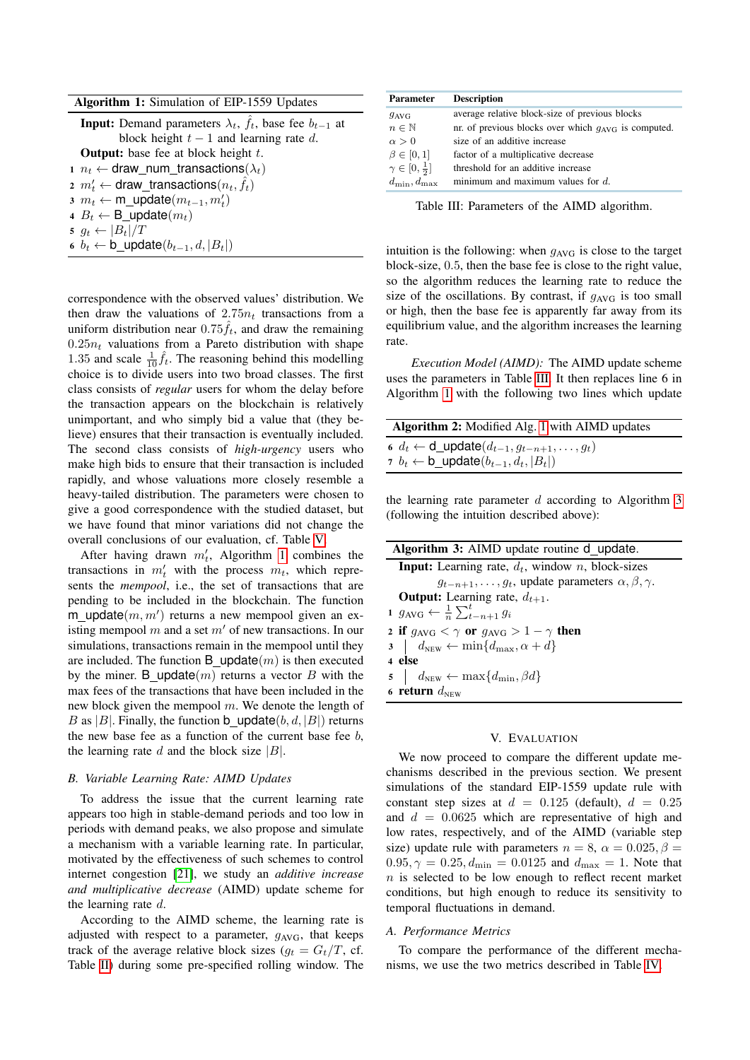|  |  | Algorithm 1: Simulation of EIP-1559 Updates |  |  |  |
|--|--|---------------------------------------------|--|--|--|
|--|--|---------------------------------------------|--|--|--|

<span id="page-5-1"></span>

| <b>Input:</b> Demand parameters $\lambda_t$ , $f_t$ , base fee $b_{t-1}$ at |
|-----------------------------------------------------------------------------|
| block height $t-1$ and learning rate d.                                     |
| <b>Output:</b> base fee at block height $t$ .                               |
| $n_t \leftarrow$ draw_num_transactions( $\lambda_t$ )                       |
| 2 $m'_t \leftarrow$ draw_transactions $(n_t, \hat{f}_t)$                    |
| $m_t \leftarrow m$ update $(m_{t-1}, m_t)$                                  |
| 4 $B_t \leftarrow$ B_update $(m_t)$                                         |
| $s \ g_t \leftarrow  B_t /T$                                                |
| 6 $b_t \leftarrow b$ update $(b_{t-1}, d,  B_t )$                           |

correspondence with the observed values' distribution. We then draw the valuations of  $2.75n_t$  transactions from a uniform distribution near  $0.75f_t$ , and draw the remaining  $0.25n_t$  valuations from a Pareto distribution with shape 1.35 and scale  $\frac{1}{10}\hat{f}_t$ . The reasoning behind this modelling choice is to divide users into two broad classes. The first class consists of *regular* users for whom the delay before the transaction appears on the blockchain is relatively unimportant, and who simply bid a value that (they believe) ensures that their transaction is eventually included. The second class consists of *high-urgency* users who make high bids to ensure that their transaction is included rapidly, and whose valuations more closely resemble a heavy-tailed distribution. The parameters were chosen to give a good correspondence with the studied dataset, but we have found that minor variations did not change the overall conclusions of our evaluation, cf. Table [V.](#page-7-1)

After having drawn  $m'_t$ , Algorithm [1](#page-5-1) combines the transactions in  $m'_t$  with the process  $m_t$ , which represents the *mempool*, i.e., the set of transactions that are pending to be included in the blockchain. The function  $m$ \_update $(m, m')$  returns a new mempool given an existing mempool  $m$  and a set  $m'$  of new transactions. In our simulations, transactions remain in the mempool until they are included. The function B update $(m)$  is then executed by the miner. B\_update $(m)$  returns a vector B with the max fees of the transactions that have been included in the new block given the mempool  $m$ . We denote the length of B as |B|. Finally, the function b update $(b, d, |B|)$  returns the new base fee as a function of the current base fee  $b$ , the learning rate d and the block size  $|B|$ .

### *B. Variable Learning Rate: AIMD Updates*

To address the issue that the current learning rate appears too high in stable-demand periods and too low in periods with demand peaks, we also propose and simulate a mechanism with a variable learning rate. In particular, motivated by the effectiveness of such schemes to control internet congestion [\[21\]](#page-8-20), we study an *additive increase and multiplicative decrease* (AIMD) update scheme for the learning rate d.

According to the AIMD scheme, the learning rate is adjusted with respect to a parameter,  $g_{AVG}$ , that keeps track of the average relative block sizes  $(q_t = G_t/T)$ , cf. Table [II\)](#page-2-3) during some pre-specified rolling window. The

<span id="page-5-2"></span>

| <b>Parameter</b>              | <b>Description</b>                                       |
|-------------------------------|----------------------------------------------------------|
| $g_{\text{AVG}}$              | average relative block-size of previous blocks           |
| $n \in \mathbb{N}$            | nr. of previous blocks over which $q_{AVG}$ is computed. |
| $\alpha > 0$                  | size of an additive increase                             |
| $\beta \in [0,1]$             | factor of a multiplicative decrease                      |
| $\gamma \in [0, \frac{1}{2}]$ | threshold for an additive increase                       |
| $d_{\min}, d_{\max}$          | minimum and maximum values for $d$ .                     |

Table III: Parameters of the AIMD algorithm.

intuition is the following: when  $g_{AVG}$  is close to the target block-size, 0.5, then the base fee is close to the right value, so the algorithm reduces the learning rate to reduce the size of the oscillations. By contrast, if  $g_{AVG}$  is too small or high, then the base fee is apparently far away from its equilibrium value, and the algorithm increases the learning rate.

*Execution Model (AIMD):* The AIMD update scheme uses the parameters in Table [III.](#page-5-2) It then replaces line 6 in Algorithm [1](#page-5-1) with the following two lines which update

| Algorithm 2: Modified Alg. 1 with AIMD updates                  |
|-----------------------------------------------------------------|
| 6 $d_t \leftarrow d$ update $(d_{t-1}, g_{t-n+1}, \ldots, g_t)$ |
| 7 $b_t \leftarrow b$ update $(b_{t-1}, d_t,  B_t )$             |

the learning rate parameter  $d$  according to Algorithm [3](#page-5-3) (following the intuition described above):

<span id="page-5-3"></span>

| Algorithm 3: AIMD update routine d update.                             |  |  |  |  |  |  |
|------------------------------------------------------------------------|--|--|--|--|--|--|
| <b>Input:</b> Learning rate, $d_t$ , window n, block-sizes             |  |  |  |  |  |  |
| $g_{t-n+1}, \ldots, g_t$ , update parameters $\alpha, \beta, \gamma$ . |  |  |  |  |  |  |
| <b>Output:</b> Learning rate, $d_{t+1}$ .                              |  |  |  |  |  |  |
| 1 $g_{AVG} \leftarrow \frac{1}{n} \sum_{t=n+1}^{t} g_i$                |  |  |  |  |  |  |
| 2 if $g_{\text{AVG}} < \gamma$ or $g_{\text{AVG}} > 1 - \gamma$ then   |  |  |  |  |  |  |
| $3 \mid d_{\text{NEW}} \leftarrow \min\{d_{\text{max}}, \alpha + d\}$  |  |  |  |  |  |  |
| 4 else                                                                 |  |  |  |  |  |  |
| $5 \mid d_{\text{NEW}} \leftarrow \max\{d_{\min}, \beta d\}$           |  |  |  |  |  |  |
| 6 return $d_{\text{NEW}}$                                              |  |  |  |  |  |  |
|                                                                        |  |  |  |  |  |  |

### V. EVALUATION

<span id="page-5-0"></span>We now proceed to compare the different update mechanisms described in the previous section. We present simulations of the standard EIP-1559 update rule with constant step sizes at  $d = 0.125$  (default),  $d = 0.25$ and  $d = 0.0625$  which are representative of high and low rates, respectively, and of the AIMD (variable step size) update rule with parameters  $n = 8$ ,  $\alpha = 0.025$ ,  $\beta =$  $0.95, \gamma = 0.25, d_{\text{min}} = 0.0125$  and  $d_{\text{max}} = 1$ . Note that  $n$  is selected to be low enough to reflect recent market conditions, but high enough to reduce its sensitivity to temporal fluctuations in demand.

#### *A. Performance Metrics*

To compare the performance of the different mechanisms, we use the two metrics described in Table [IV.](#page-6-0)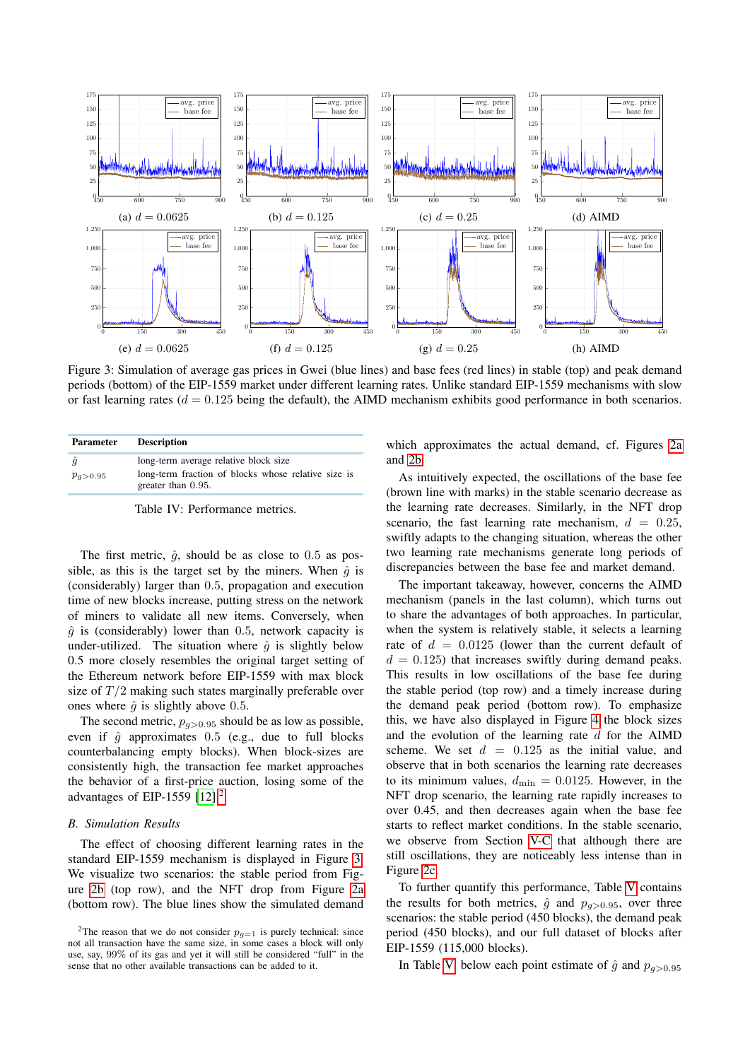<span id="page-6-2"></span>

Figure 3: Simulation of average gas prices in Gwei (blue lines) and base fees (red lines) in stable (top) and peak demand periods (bottom) of the EIP-1559 market under different learning rates. Unlike standard EIP-1559 mechanisms with slow or fast learning rates ( $d = 0.125$  being the default), the AIMD mechanism exhibits good performance in both scenarios.

<span id="page-6-0"></span>

| <b>Parameter</b>          | <b>Description</b>                                                                                                 |  |  |  |  |  |
|---------------------------|--------------------------------------------------------------------------------------------------------------------|--|--|--|--|--|
| $\hat{q}$<br>$p_{q>0.95}$ | long-term average relative block size<br>long-term fraction of blocks whose relative size is<br>greater than 0.95. |  |  |  |  |  |

Table IV: Performance metrics.

The first metric,  $\hat{g}$ , should be as close to 0.5 as possible, as this is the target set by the miners. When  $\hat{g}$  is (considerably) larger than 0.5, propagation and execution time of new blocks increase, putting stress on the network of miners to validate all new items. Conversely, when  $\hat{g}$  is (considerably) lower than 0.5, network capacity is under-utilized. The situation where  $\hat{q}$  is slightly below 0.5 more closely resembles the original target setting of the Ethereum network before EIP-1559 with max block size of  $T/2$  making such states marginally preferable over ones where  $\hat{q}$  is slightly above 0.5.

The second metric,  $p_{q>0.95}$  should be as low as possible, even if  $\hat{g}$  approximates 0.5 (e.g., due to full blocks counterbalancing empty blocks). When block-sizes are consistently high, the transaction fee market approaches the behavior of a first-price auction, losing some of the advantages of EIP-1559  $[12]$ .<sup>[2](#page-6-1)</sup>

#### *B. Simulation Results*

The effect of choosing different learning rates in the standard EIP-1559 mechanism is displayed in Figure [3.](#page-6-2) We visualize two scenarios: the stable period from Figure [2b](#page-4-1) (top row), and the NFT drop from Figure [2a](#page-4-1) (bottom row). The blue lines show the simulated demand

which approximates the actual demand, cf. Figures [2a](#page-4-1) and [2b.](#page-4-1)

As intuitively expected, the oscillations of the base fee (brown line with marks) in the stable scenario decrease as the learning rate decreases. Similarly, in the NFT drop scenario, the fast learning rate mechanism,  $d = 0.25$ , swiftly adapts to the changing situation, whereas the other two learning rate mechanisms generate long periods of discrepancies between the base fee and market demand.

The important takeaway, however, concerns the AIMD mechanism (panels in the last column), which turns out to share the advantages of both approaches. In particular, when the system is relatively stable, it selects a learning rate of  $d = 0.0125$  (lower than the current default of  $d = 0.125$ ) that increases swiftly during demand peaks. This results in low oscillations of the base fee during the stable period (top row) and a timely increase during the demand peak period (bottom row). To emphasize this, we have also displayed in Figure [4](#page-8-21) the block sizes and the evolution of the learning rate  $d$  for the AIMD scheme. We set  $d = 0.125$  as the initial value, and observe that in both scenarios the learning rate decreases to its minimum values,  $d_{\text{min}} = 0.0125$ . However, in the NFT drop scenario, the learning rate rapidly increases to over 0.45, and then decreases again when the base fee starts to reflect market conditions. In the stable scenario, we observe from Section [V-C](#page-8-21) that although there are still oscillations, they are noticeably less intense than in Figure [2c.](#page-4-1)

To further quantify this performance, Table [V](#page-7-1) contains the results for both metrics,  $\hat{g}$  and  $p_{q>0.95}$ , over three scenarios: the stable period (450 blocks), the demand peak period (450 blocks), and our full dataset of blocks after EIP-1559 (115,000 blocks).

In Table [V,](#page-7-1) below each point estimate of  $\hat{g}$  and  $p_{q>0.95}$ 

<span id="page-6-1"></span><sup>&</sup>lt;sup>2</sup>The reason that we do not consider  $p_{q=1}$  is purely technical: since not all transaction have the same size, in some cases a block will only use, say, 99% of its gas and yet it will still be considered "full" in the sense that no other available transactions can be added to it.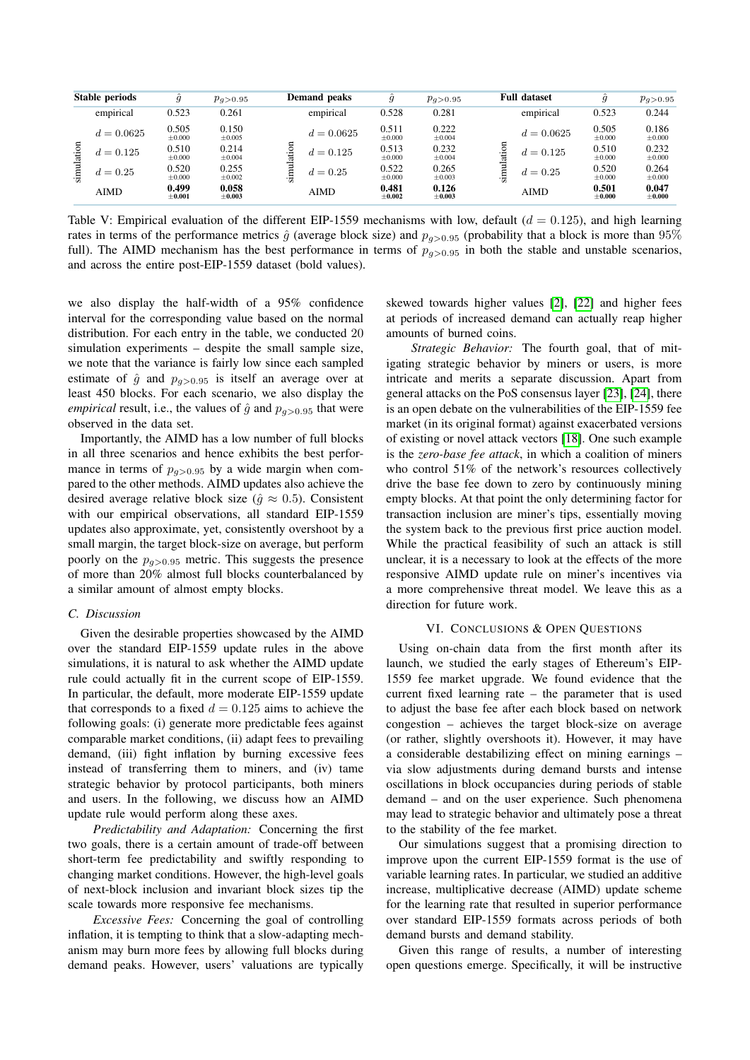<span id="page-7-1"></span>

| Stable periods |              | ĝ                    | $p_{q>0.95}$         |                     | Demand peaks | ĝ                    | $p_{q>0.95}$         |   | <b>Full dataset</b> | $\hat{g}$         | $p_{q>0.95}$         |
|----------------|--------------|----------------------|----------------------|---------------------|--------------|----------------------|----------------------|---|---------------------|-------------------|----------------------|
|                | empirical    | 0.523                | 0.261                |                     | empirical    | 0.528                | 0.281                |   | empirical           | 0.523             | 0.244                |
|                | $d = 0.0625$ | 0.505<br>±0.000      | 0.150<br>$\pm 0.005$ | ٠<br>ದ<br>نھن۔<br>ا | $d = 0.0625$ | 0.511<br>±0.000      | 0.222<br>$\pm 0.004$ |   | $d = 0.0625$        | 0.505<br>±0.000   | 0.186<br>$\pm 0.000$ |
| $\mathbf{g}$   | $d = 0.125$  | 0.510<br>±0.000      | 0.214<br>$\pm 0.004$ |                     | $d = 0.125$  | 0.513<br>±0.000      | 0.232<br>$\pm 0.004$ | ≔ | $d = 0.125$         | 0.510<br>±0.000   | 0.232<br>$\pm 0.000$ |
| simulati       | $d = 0.25$   | 0.520<br>±0.000      | 0.255<br>$\pm 0.002$ |                     | $d = 0.25$   | 0.522<br>±0.000      | 0.265<br>$\pm 0.003$ |   | $d = 0.25$          | 0.520<br>±0.000   | 0.264<br>$\pm 0.000$ |
|                | <b>AIMD</b>  | 0.499<br>$\pm 0.001$ | 0.058<br>$\pm 0.003$ |                     | AIMD         | 0.481<br>$\pm 0.002$ | 0.126<br>$\pm 0.003$ |   | <b>AIMD</b>         | 0.501<br>$+0.000$ | 0.047<br>$+0.000$    |

Table V: Empirical evaluation of the different EIP-1559 mechanisms with low, default  $(d = 0.125)$ , and high learning rates in terms of the performance metrics  $\hat{g}$  (average block size) and  $p_{q>0.95}$  (probability that a block is more than 95% full). The AIMD mechanism has the best performance in terms of  $p_{\alpha>0.95}$  in both the stable and unstable scenarios, and across the entire post-EIP-1559 dataset (bold values).

we also display the half-width of a 95% confidence interval for the corresponding value based on the normal distribution. For each entry in the table, we conducted 20 simulation experiments – despite the small sample size, we note that the variance is fairly low since each sampled estimate of  $\hat{g}$  and  $p_{q>0.95}$  is itself an average over at least 450 blocks. For each scenario, we also display the *empirical* result, i.e., the values of  $\hat{g}$  and  $p_{q>0.95}$  that were observed in the data set.

Importantly, the AIMD has a low number of full blocks in all three scenarios and hence exhibits the best performance in terms of  $p_{q>0.95}$  by a wide margin when compared to the other methods. AIMD updates also achieve the desired average relative block size ( $\hat{g} \approx 0.5$ ). Consistent with our empirical observations, all standard EIP-1559 updates also approximate, yet, consistently overshoot by a small margin, the target block-size on average, but perform poorly on the  $p_{q>0.95}$  metric. This suggests the presence of more than 20% almost full blocks counterbalanced by a similar amount of almost empty blocks.

# *C. Discussion*

Given the desirable properties showcased by the AIMD over the standard EIP-1559 update rules in the above simulations, it is natural to ask whether the AIMD update rule could actually fit in the current scope of EIP-1559. In particular, the default, more moderate EIP-1559 update that corresponds to a fixed  $d = 0.125$  aims to achieve the following goals: (i) generate more predictable fees against comparable market conditions, (ii) adapt fees to prevailing demand, (iii) fight inflation by burning excessive fees instead of transferring them to miners, and (iv) tame strategic behavior by protocol participants, both miners and users. In the following, we discuss how an AIMD update rule would perform along these axes.

*Predictability and Adaptation:* Concerning the first two goals, there is a certain amount of trade-off between short-term fee predictability and swiftly responding to changing market conditions. However, the high-level goals of next-block inclusion and invariant block sizes tip the scale towards more responsive fee mechanisms.

*Excessive Fees:* Concerning the goal of controlling inflation, it is tempting to think that a slow-adapting mechanism may burn more fees by allowing full blocks during demand peaks. However, users' valuations are typically

skewed towards higher values [\[2\]](#page-8-1), [\[22\]](#page-8-22) and higher fees at periods of increased demand can actually reap higher amounts of burned coins.

*Strategic Behavior:* The fourth goal, that of mitigating strategic behavior by miners or users, is more intricate and merits a separate discussion. Apart from general attacks on the PoS consensus layer [\[23\]](#page-8-23), [\[24\]](#page-8-24), there is an open debate on the vulnerabilities of the EIP-1559 fee market (in its original format) against exacerbated versions of existing or novel attack vectors [\[18\]](#page-8-17). One such example is the *zero-base fee attack*, in which a coalition of miners who control 51% of the network's resources collectively drive the base fee down to zero by continuously mining empty blocks. At that point the only determining factor for transaction inclusion are miner's tips, essentially moving the system back to the previous first price auction model. While the practical feasibility of such an attack is still unclear, it is a necessary to look at the effects of the more responsive AIMD update rule on miner's incentives via a more comprehensive threat model. We leave this as a direction for future work.

# VI. CONCLUSIONS & OPEN QUESTIONS

<span id="page-7-0"></span>Using on-chain data from the first month after its launch, we studied the early stages of Ethereum's EIP-1559 fee market upgrade. We found evidence that the current fixed learning rate – the parameter that is used to adjust the base fee after each block based on network congestion – achieves the target block-size on average (or rather, slightly overshoots it). However, it may have a considerable destabilizing effect on mining earnings – via slow adjustments during demand bursts and intense oscillations in block occupancies during periods of stable demand – and on the user experience. Such phenomena may lead to strategic behavior and ultimately pose a threat to the stability of the fee market.

Our simulations suggest that a promising direction to improve upon the current EIP-1559 format is the use of variable learning rates. In particular, we studied an additive increase, multiplicative decrease (AIMD) update scheme for the learning rate that resulted in superior performance over standard EIP-1559 formats across periods of both demand bursts and demand stability.

Given this range of results, a number of interesting open questions emerge. Specifically, it will be instructive